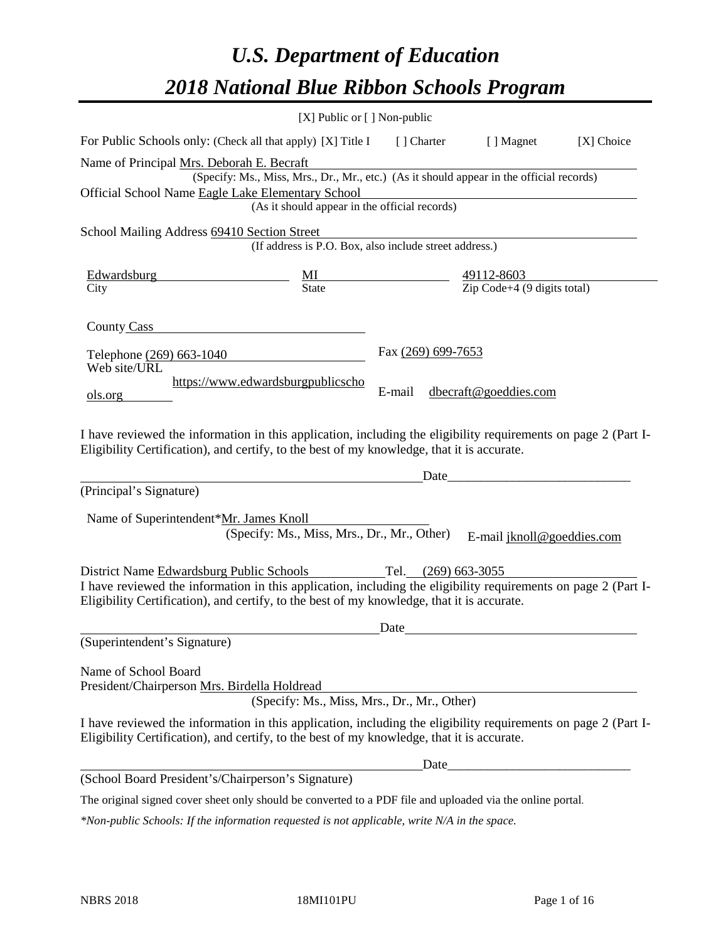# *U.S. Department of Education 2018 National Blue Ribbon Schools Program*

|                                                                                                                                                                                                                                                          | [X] Public or [] Non-public                                                                                                               |                              |                                                   |            |
|----------------------------------------------------------------------------------------------------------------------------------------------------------------------------------------------------------------------------------------------------------|-------------------------------------------------------------------------------------------------------------------------------------------|------------------------------|---------------------------------------------------|------------|
| For Public Schools only: (Check all that apply) [X] Title I                                                                                                                                                                                              |                                                                                                                                           | [ ] Charter                  | [ ] Magnet                                        | [X] Choice |
| Name of Principal Mrs. Deborah E. Becraft<br>Official School Name Eagle Lake Elementary School                                                                                                                                                           | (Specify: Ms., Miss, Mrs., Dr., Mr., etc.) (As it should appear in the official records)<br>(As it should appear in the official records) |                              |                                                   |            |
| School Mailing Address 69410 Section Street                                                                                                                                                                                                              | (If address is P.O. Box, also include street address.)                                                                                    |                              |                                                   |            |
|                                                                                                                                                                                                                                                          |                                                                                                                                           |                              |                                                   |            |
| County Cass                                                                                                                                                                                                                                              |                                                                                                                                           |                              |                                                   |            |
| Telephone (269) 663-1040<br>Web site/URL<br>ols.org                                                                                                                                                                                                      | https://www.edwardsburgpublicscho                                                                                                         | Fax (269) 699-7653<br>E-mail | dbecraft@goeddies.com                             |            |
| I have reviewed the information in this application, including the eligibility requirements on page 2 (Part I-<br>Eligibility Certification), and certify, to the best of my knowledge, that it is accurate.                                             |                                                                                                                                           | Date                         | <u> 1980 - Johann Barbara, martxa alemaniar a</u> |            |
| (Principal's Signature)                                                                                                                                                                                                                                  |                                                                                                                                           |                              |                                                   |            |
| Name of Superintendent*Mr. James Knoll                                                                                                                                                                                                                   | (Specify: Ms., Miss, Mrs., Dr., Mr., Other)                                                                                               |                              | E-mail jknoll@goeddies.com                        |            |
| District Name Edwardsburg Public Schools<br>I have reviewed the information in this application, including the eligibility requirements on page 2 (Part I-<br>Eligibility Certification), and certify, to the best of my knowledge, that it is accurate. |                                                                                                                                           | Tel. (269) 663-3055          |                                                   |            |
|                                                                                                                                                                                                                                                          |                                                                                                                                           | Date                         |                                                   |            |
| (Superintendent's Signature)<br>Name of School Board<br>President/Chairperson Mrs. Birdella Holdread                                                                                                                                                     | (Specify: Ms., Miss, Mrs., Dr., Mr., Other)                                                                                               |                              |                                                   |            |
| I have reviewed the information in this application, including the eligibility requirements on page 2 (Part I-<br>Eligibility Certification), and certify, to the best of my knowledge, that it is accurate.                                             |                                                                                                                                           |                              |                                                   |            |
|                                                                                                                                                                                                                                                          |                                                                                                                                           | Date_                        |                                                   |            |
| (School Board President's/Chairperson's Signature)                                                                                                                                                                                                       |                                                                                                                                           |                              |                                                   |            |
| The original signed cover sheet only should be converted to a PDF file and uploaded via the online portal.                                                                                                                                               |                                                                                                                                           |                              |                                                   |            |

*\*Non-public Schools: If the information requested is not applicable, write N/A in the space.*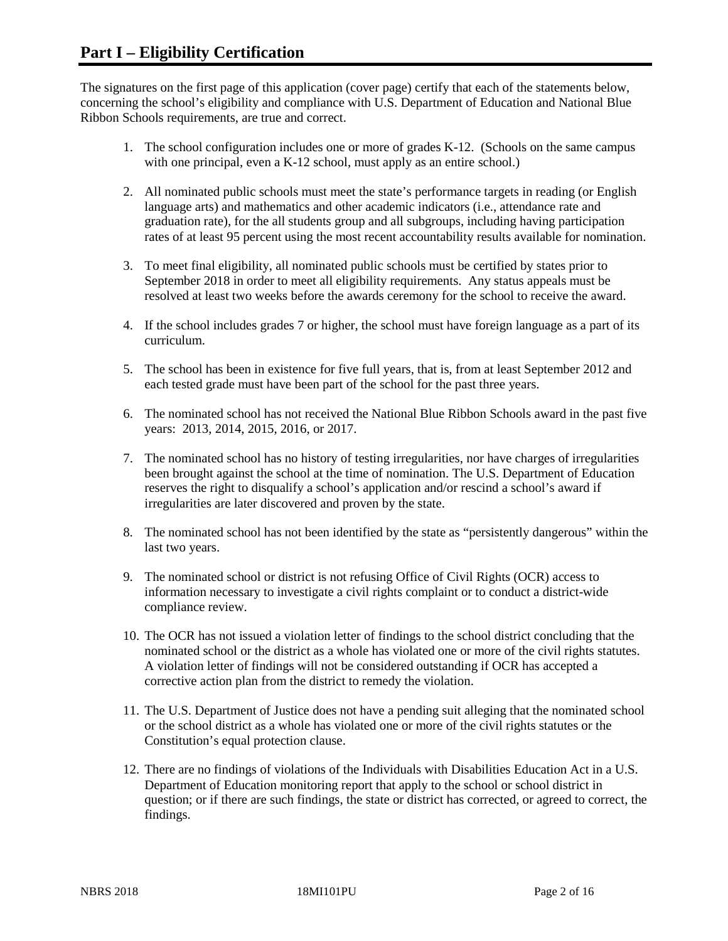The signatures on the first page of this application (cover page) certify that each of the statements below, concerning the school's eligibility and compliance with U.S. Department of Education and National Blue Ribbon Schools requirements, are true and correct.

- 1. The school configuration includes one or more of grades K-12. (Schools on the same campus with one principal, even a K-12 school, must apply as an entire school.)
- 2. All nominated public schools must meet the state's performance targets in reading (or English language arts) and mathematics and other academic indicators (i.e., attendance rate and graduation rate), for the all students group and all subgroups, including having participation rates of at least 95 percent using the most recent accountability results available for nomination.
- 3. To meet final eligibility, all nominated public schools must be certified by states prior to September 2018 in order to meet all eligibility requirements. Any status appeals must be resolved at least two weeks before the awards ceremony for the school to receive the award.
- 4. If the school includes grades 7 or higher, the school must have foreign language as a part of its curriculum.
- 5. The school has been in existence for five full years, that is, from at least September 2012 and each tested grade must have been part of the school for the past three years.
- 6. The nominated school has not received the National Blue Ribbon Schools award in the past five years: 2013, 2014, 2015, 2016, or 2017.
- 7. The nominated school has no history of testing irregularities, nor have charges of irregularities been brought against the school at the time of nomination. The U.S. Department of Education reserves the right to disqualify a school's application and/or rescind a school's award if irregularities are later discovered and proven by the state.
- 8. The nominated school has not been identified by the state as "persistently dangerous" within the last two years.
- 9. The nominated school or district is not refusing Office of Civil Rights (OCR) access to information necessary to investigate a civil rights complaint or to conduct a district-wide compliance review.
- 10. The OCR has not issued a violation letter of findings to the school district concluding that the nominated school or the district as a whole has violated one or more of the civil rights statutes. A violation letter of findings will not be considered outstanding if OCR has accepted a corrective action plan from the district to remedy the violation.
- 11. The U.S. Department of Justice does not have a pending suit alleging that the nominated school or the school district as a whole has violated one or more of the civil rights statutes or the Constitution's equal protection clause.
- 12. There are no findings of violations of the Individuals with Disabilities Education Act in a U.S. Department of Education monitoring report that apply to the school or school district in question; or if there are such findings, the state or district has corrected, or agreed to correct, the findings.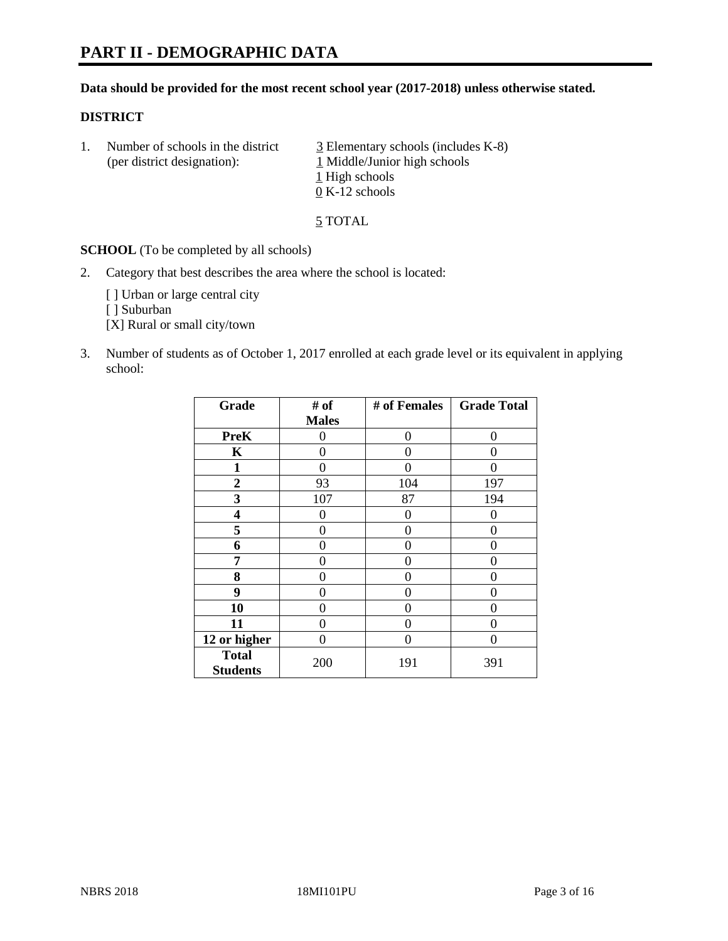# **PART II - DEMOGRAPHIC DATA**

#### **Data should be provided for the most recent school year (2017-2018) unless otherwise stated.**

#### **DISTRICT**

1. Number of schools in the district  $\frac{3}{2}$  Elementary schools (includes K-8) (per district designation): 1 Middle/Junior high schools 1 High schools 0 K-12 schools

5 TOTAL

**SCHOOL** (To be completed by all schools)

2. Category that best describes the area where the school is located:

[] Urban or large central city

[ ] Suburban

[X] Rural or small city/town

3. Number of students as of October 1, 2017 enrolled at each grade level or its equivalent in applying school:

| Grade                           | # of         | # of Females | <b>Grade Total</b> |
|---------------------------------|--------------|--------------|--------------------|
|                                 | <b>Males</b> |              |                    |
| <b>PreK</b>                     | 0            | $\Omega$     | 0                  |
| K                               | 0            | 0            | 0                  |
| 1                               | 0            | 0            |                    |
| 2                               | 93           | 104          | 197                |
| 3                               | 107          | 87           | 194                |
| 4                               | 0            | 0            | 0                  |
| 5                               | 0            | 0            | 0                  |
| 6                               | 0            | 0            | 0                  |
| 7                               | 0            | 0            | 0                  |
| 8                               | 0            | 0            | 0                  |
| 9                               | 0            | 0            | 0                  |
| 10                              | 0            | 0            | 0                  |
| 11                              | 0            | 0            | 0                  |
| 12 or higher                    | 0            | 0            | 0                  |
| <b>Total</b><br><b>Students</b> | 200          | 191          | 391                |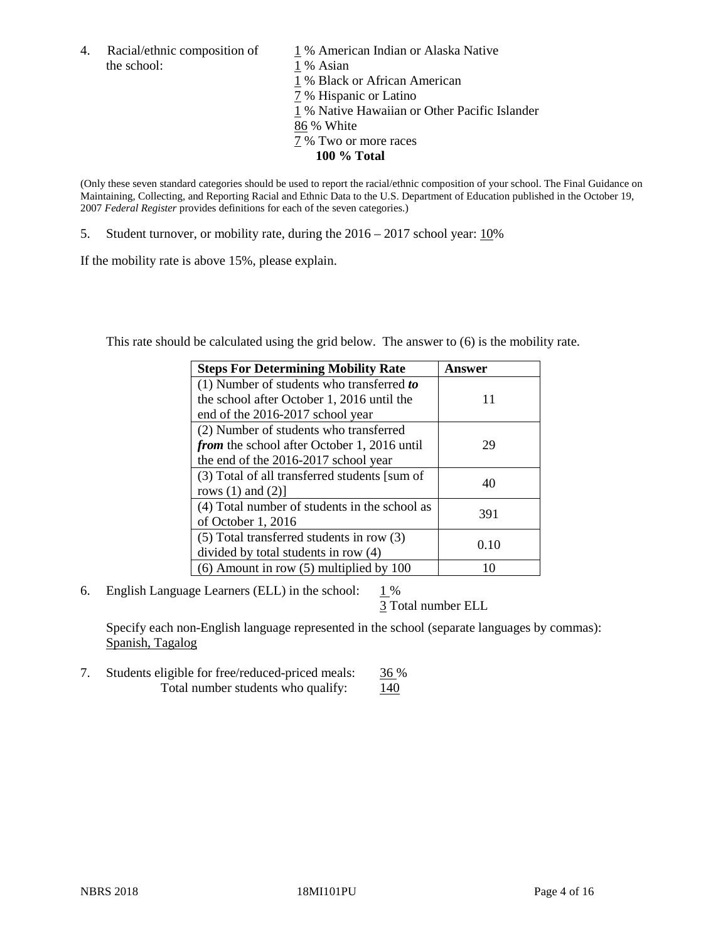4. Racial/ethnic composition of  $1\%$  American Indian or Alaska Native the school: 1 % Asian

 % Black or African American % Hispanic or Latino % Native Hawaiian or Other Pacific Islander 86 % White % Two or more races **100 % Total**

(Only these seven standard categories should be used to report the racial/ethnic composition of your school. The Final Guidance on Maintaining, Collecting, and Reporting Racial and Ethnic Data to the U.S. Department of Education published in the October 19, 2007 *Federal Register* provides definitions for each of the seven categories.)

5. Student turnover, or mobility rate, during the 2016 – 2017 school year: 10%

If the mobility rate is above 15%, please explain.

This rate should be calculated using the grid below. The answer to (6) is the mobility rate.

| <b>Steps For Determining Mobility Rate</b>         | Answer |
|----------------------------------------------------|--------|
| (1) Number of students who transferred to          |        |
| the school after October 1, 2016 until the         | 11     |
| end of the 2016-2017 school year                   |        |
| (2) Number of students who transferred             |        |
| <i>from</i> the school after October 1, 2016 until | 29     |
| the end of the 2016-2017 school year               |        |
| (3) Total of all transferred students [sum of      |        |
| rows $(1)$ and $(2)$ ]                             | 40     |
| (4) Total number of students in the school as      |        |
| of October 1, 2016                                 | 391    |
| (5) Total transferred students in row (3)          |        |
| divided by total students in row (4)               | 0.10   |
| $(6)$ Amount in row $(5)$ multiplied by 100        |        |

6. English Language Learners (ELL) in the school:  $1\%$ 

3 Total number ELL

Specify each non-English language represented in the school (separate languages by commas): Spanish, Tagalog

7. Students eligible for free/reduced-priced meals: 36 % Total number students who qualify:  $140$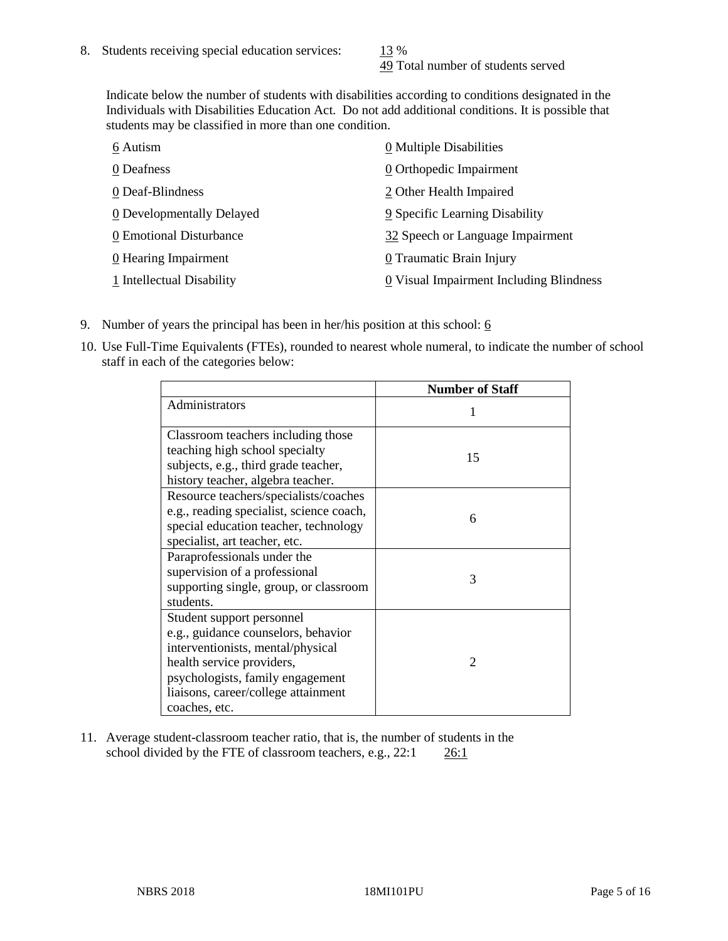49 Total number of students served

Indicate below the number of students with disabilities according to conditions designated in the Individuals with Disabilities Education Act. Do not add additional conditions. It is possible that students may be classified in more than one condition.

| 6 Autism                  | $\underline{0}$ Multiple Disabilities   |
|---------------------------|-----------------------------------------|
| 0 Deafness                | 0 Orthopedic Impairment                 |
| 0 Deaf-Blindness          | 2 Other Health Impaired                 |
| 0 Developmentally Delayed | 9 Specific Learning Disability          |
| 0 Emotional Disturbance   | 32 Speech or Language Impairment        |
| 0 Hearing Impairment      | 0 Traumatic Brain Injury                |
| 1 Intellectual Disability | 0 Visual Impairment Including Blindness |

- 9. Number of years the principal has been in her/his position at this school:  $6$
- 10. Use Full-Time Equivalents (FTEs), rounded to nearest whole numeral, to indicate the number of school staff in each of the categories below:

|                                                                                                                                                                                                                                | <b>Number of Staff</b> |
|--------------------------------------------------------------------------------------------------------------------------------------------------------------------------------------------------------------------------------|------------------------|
| Administrators                                                                                                                                                                                                                 |                        |
| Classroom teachers including those<br>teaching high school specialty<br>subjects, e.g., third grade teacher,<br>history teacher, algebra teacher.                                                                              | 15                     |
| Resource teachers/specialists/coaches<br>e.g., reading specialist, science coach,<br>special education teacher, technology<br>specialist, art teacher, etc.                                                                    | 6                      |
| Paraprofessionals under the<br>supervision of a professional<br>supporting single, group, or classroom<br>students.                                                                                                            | 3                      |
| Student support personnel<br>e.g., guidance counselors, behavior<br>interventionists, mental/physical<br>health service providers,<br>psychologists, family engagement<br>liaisons, career/college attainment<br>coaches, etc. | $\mathfrak{D}$         |

11. Average student-classroom teacher ratio, that is, the number of students in the school divided by the FTE of classroom teachers, e.g., 22:1 26:1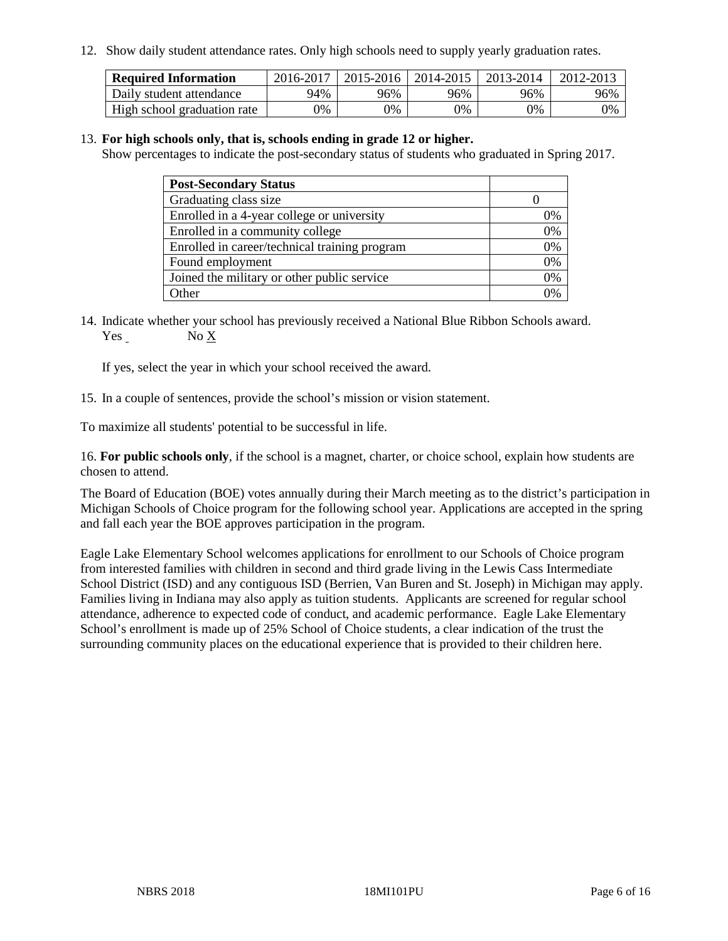12. Show daily student attendance rates. Only high schools need to supply yearly graduation rates.

| <b>Required Information</b> | 2016-2017 | $2015 - 2016$ | 2014-2015 | 2013-2014 | 2012-2013 |
|-----------------------------|-----------|---------------|-----------|-----------|-----------|
| Daily student attendance    | 94%       | 96%           | 96%       | 96%       | 96%       |
| High school graduation rate | 0%        | 0%            | 0%        | 9%        | 0%        |

#### 13. **For high schools only, that is, schools ending in grade 12 or higher.**

Show percentages to indicate the post-secondary status of students who graduated in Spring 2017.

| <b>Post-Secondary Status</b>                  |              |
|-----------------------------------------------|--------------|
| Graduating class size                         |              |
| Enrolled in a 4-year college or university    | 0%           |
| Enrolled in a community college               | 0%           |
| Enrolled in career/technical training program | 0%           |
| Found employment                              | 0%           |
| Joined the military or other public service   | 0%           |
| Other                                         | $\gamma_{0}$ |

14. Indicate whether your school has previously received a National Blue Ribbon Schools award. Yes No X

If yes, select the year in which your school received the award.

15. In a couple of sentences, provide the school's mission or vision statement.

To maximize all students' potential to be successful in life.

16. **For public schools only**, if the school is a magnet, charter, or choice school, explain how students are chosen to attend.

The Board of Education (BOE) votes annually during their March meeting as to the district's participation in Michigan Schools of Choice program for the following school year. Applications are accepted in the spring and fall each year the BOE approves participation in the program.

Eagle Lake Elementary School welcomes applications for enrollment to our Schools of Choice program from interested families with children in second and third grade living in the Lewis Cass Intermediate School District (ISD) and any contiguous ISD (Berrien, Van Buren and St. Joseph) in Michigan may apply. Families living in Indiana may also apply as tuition students. Applicants are screened for regular school attendance, adherence to expected code of conduct, and academic performance. Eagle Lake Elementary School's enrollment is made up of 25% School of Choice students, a clear indication of the trust the surrounding community places on the educational experience that is provided to their children here.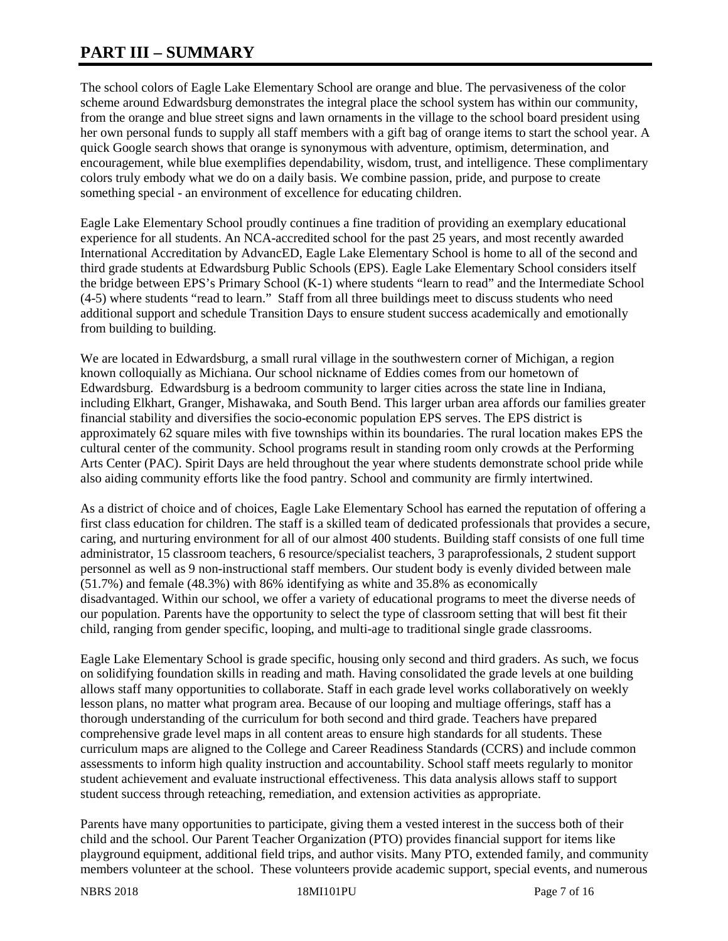# **PART III – SUMMARY**

The school colors of Eagle Lake Elementary School are orange and blue. The pervasiveness of the color scheme around Edwardsburg demonstrates the integral place the school system has within our community, from the orange and blue street signs and lawn ornaments in the village to the school board president using her own personal funds to supply all staff members with a gift bag of orange items to start the school year. A quick Google search shows that orange is synonymous with adventure, optimism, determination, and encouragement, while blue exemplifies dependability, wisdom, trust, and intelligence. These complimentary colors truly embody what we do on a daily basis. We combine passion, pride, and purpose to create something special - an environment of excellence for educating children.

Eagle Lake Elementary School proudly continues a fine tradition of providing an exemplary educational experience for all students. An NCA-accredited school for the past 25 years, and most recently awarded International Accreditation by AdvancED, Eagle Lake Elementary School is home to all of the second and third grade students at Edwardsburg Public Schools (EPS). Eagle Lake Elementary School considers itself the bridge between EPS's Primary School (K-1) where students "learn to read" and the Intermediate School (4-5) where students "read to learn." Staff from all three buildings meet to discuss students who need additional support and schedule Transition Days to ensure student success academically and emotionally from building to building.

We are located in Edwardsburg, a small rural village in the southwestern corner of Michigan, a region known colloquially as Michiana. Our school nickname of Eddies comes from our hometown of Edwardsburg. Edwardsburg is a bedroom community to larger cities across the state line in Indiana, including Elkhart, Granger, Mishawaka, and South Bend. This larger urban area affords our families greater financial stability and diversifies the socio-economic population EPS serves. The EPS district is approximately 62 square miles with five townships within its boundaries. The rural location makes EPS the cultural center of the community. School programs result in standing room only crowds at the Performing Arts Center (PAC). Spirit Days are held throughout the year where students demonstrate school pride while also aiding community efforts like the food pantry. School and community are firmly intertwined.

As a district of choice and of choices, Eagle Lake Elementary School has earned the reputation of offering a first class education for children. The staff is a skilled team of dedicated professionals that provides a secure, caring, and nurturing environment for all of our almost 400 students. Building staff consists of one full time administrator, 15 classroom teachers, 6 resource/specialist teachers, 3 paraprofessionals, 2 student support personnel as well as 9 non-instructional staff members. Our student body is evenly divided between male (51.7%) and female (48.3%) with 86% identifying as white and 35.8% as economically disadvantaged. Within our school, we offer a variety of educational programs to meet the diverse needs of our population. Parents have the opportunity to select the type of classroom setting that will best fit their child, ranging from gender specific, looping, and multi-age to traditional single grade classrooms.

Eagle Lake Elementary School is grade specific, housing only second and third graders. As such, we focus on solidifying foundation skills in reading and math. Having consolidated the grade levels at one building allows staff many opportunities to collaborate. Staff in each grade level works collaboratively on weekly lesson plans, no matter what program area. Because of our looping and multiage offerings, staff has a thorough understanding of the curriculum for both second and third grade. Teachers have prepared comprehensive grade level maps in all content areas to ensure high standards for all students. These curriculum maps are aligned to the College and Career Readiness Standards (CCRS) and include common assessments to inform high quality instruction and accountability. School staff meets regularly to monitor student achievement and evaluate instructional effectiveness. This data analysis allows staff to support student success through reteaching, remediation, and extension activities as appropriate.

Parents have many opportunities to participate, giving them a vested interest in the success both of their child and the school. Our Parent Teacher Organization (PTO) provides financial support for items like playground equipment, additional field trips, and author visits. Many PTO, extended family, and community members volunteer at the school. These volunteers provide academic support, special events, and numerous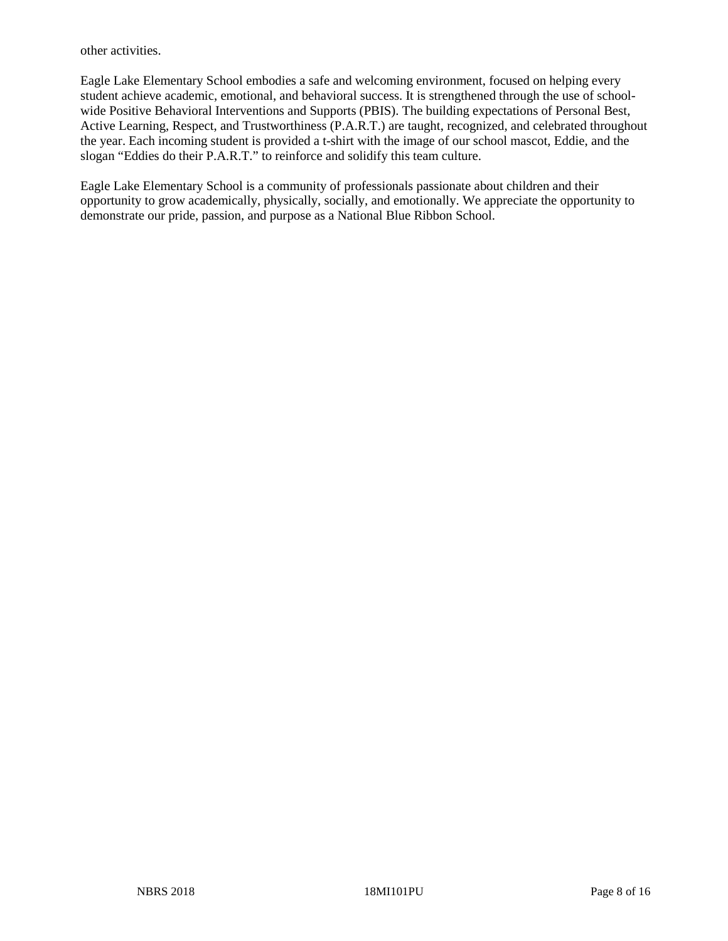other activities.

Eagle Lake Elementary School embodies a safe and welcoming environment, focused on helping every student achieve academic, emotional, and behavioral success. It is strengthened through the use of schoolwide Positive Behavioral Interventions and Supports (PBIS). The building expectations of Personal Best, Active Learning, Respect, and Trustworthiness (P.A.R.T.) are taught, recognized, and celebrated throughout the year. Each incoming student is provided a t-shirt with the image of our school mascot, Eddie, and the slogan "Eddies do their P.A.R.T." to reinforce and solidify this team culture.

Eagle Lake Elementary School is a community of professionals passionate about children and their opportunity to grow academically, physically, socially, and emotionally. We appreciate the opportunity to demonstrate our pride, passion, and purpose as a National Blue Ribbon School.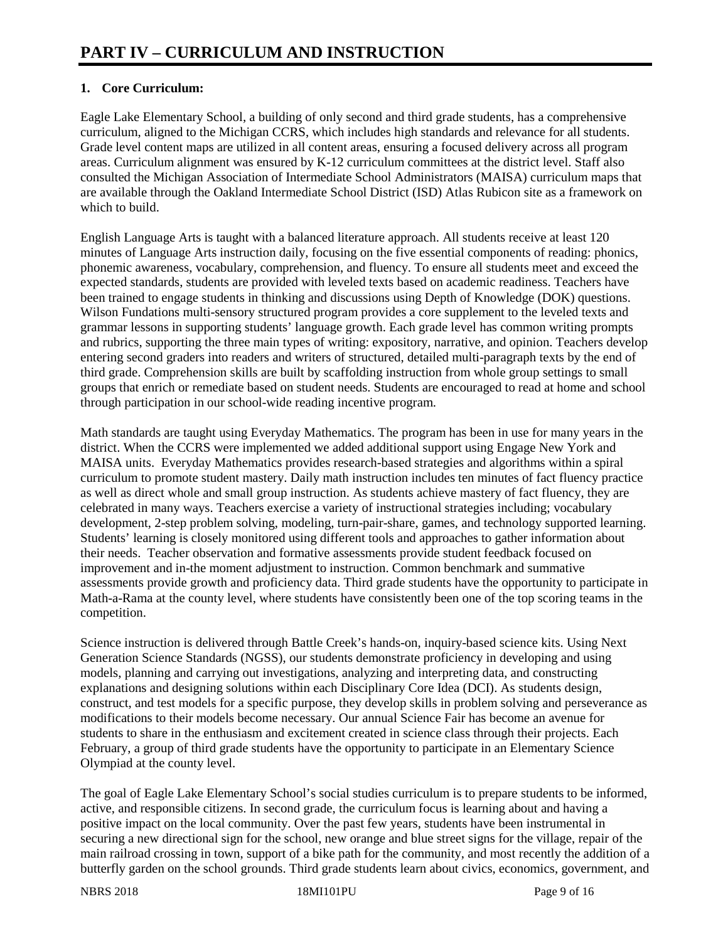# **1. Core Curriculum:**

Eagle Lake Elementary School, a building of only second and third grade students, has a comprehensive curriculum, aligned to the Michigan CCRS, which includes high standards and relevance for all students. Grade level content maps are utilized in all content areas, ensuring a focused delivery across all program areas. Curriculum alignment was ensured by K-12 curriculum committees at the district level. Staff also consulted the Michigan Association of Intermediate School Administrators (MAISA) curriculum maps that are available through the Oakland Intermediate School District (ISD) Atlas Rubicon site as a framework on which to build.

English Language Arts is taught with a balanced literature approach. All students receive at least 120 minutes of Language Arts instruction daily, focusing on the five essential components of reading: phonics, phonemic awareness, vocabulary, comprehension, and fluency. To ensure all students meet and exceed the expected standards, students are provided with leveled texts based on academic readiness. Teachers have been trained to engage students in thinking and discussions using Depth of Knowledge (DOK) questions. Wilson Fundations multi-sensory structured program provides a core supplement to the leveled texts and grammar lessons in supporting students' language growth. Each grade level has common writing prompts and rubrics, supporting the three main types of writing: expository, narrative, and opinion. Teachers develop entering second graders into readers and writers of structured, detailed multi-paragraph texts by the end of third grade. Comprehension skills are built by scaffolding instruction from whole group settings to small groups that enrich or remediate based on student needs. Students are encouraged to read at home and school through participation in our school-wide reading incentive program.

Math standards are taught using Everyday Mathematics. The program has been in use for many years in the district. When the CCRS were implemented we added additional support using Engage New York and MAISA units. Everyday Mathematics provides research-based strategies and algorithms within a spiral curriculum to promote student mastery. Daily math instruction includes ten minutes of fact fluency practice as well as direct whole and small group instruction. As students achieve mastery of fact fluency, they are celebrated in many ways. Teachers exercise a variety of instructional strategies including; vocabulary development, 2-step problem solving, modeling, turn-pair-share, games, and technology supported learning. Students' learning is closely monitored using different tools and approaches to gather information about their needs. Teacher observation and formative assessments provide student feedback focused on improvement and in-the moment adjustment to instruction. Common benchmark and summative assessments provide growth and proficiency data. Third grade students have the opportunity to participate in Math-a-Rama at the county level, where students have consistently been one of the top scoring teams in the competition.

Science instruction is delivered through Battle Creek's hands-on, inquiry-based science kits. Using Next Generation Science Standards (NGSS), our students demonstrate proficiency in developing and using models, planning and carrying out investigations, analyzing and interpreting data, and constructing explanations and designing solutions within each Disciplinary Core Idea (DCI). As students design, construct, and test models for a specific purpose, they develop skills in problem solving and perseverance as modifications to their models become necessary. Our annual Science Fair has become an avenue for students to share in the enthusiasm and excitement created in science class through their projects. Each February, a group of third grade students have the opportunity to participate in an Elementary Science Olympiad at the county level.

The goal of Eagle Lake Elementary School's social studies curriculum is to prepare students to be informed, active, and responsible citizens. In second grade, the curriculum focus is learning about and having a positive impact on the local community. Over the past few years, students have been instrumental in securing a new directional sign for the school, new orange and blue street signs for the village, repair of the main railroad crossing in town, support of a bike path for the community, and most recently the addition of a butterfly garden on the school grounds. Third grade students learn about civics, economics, government, and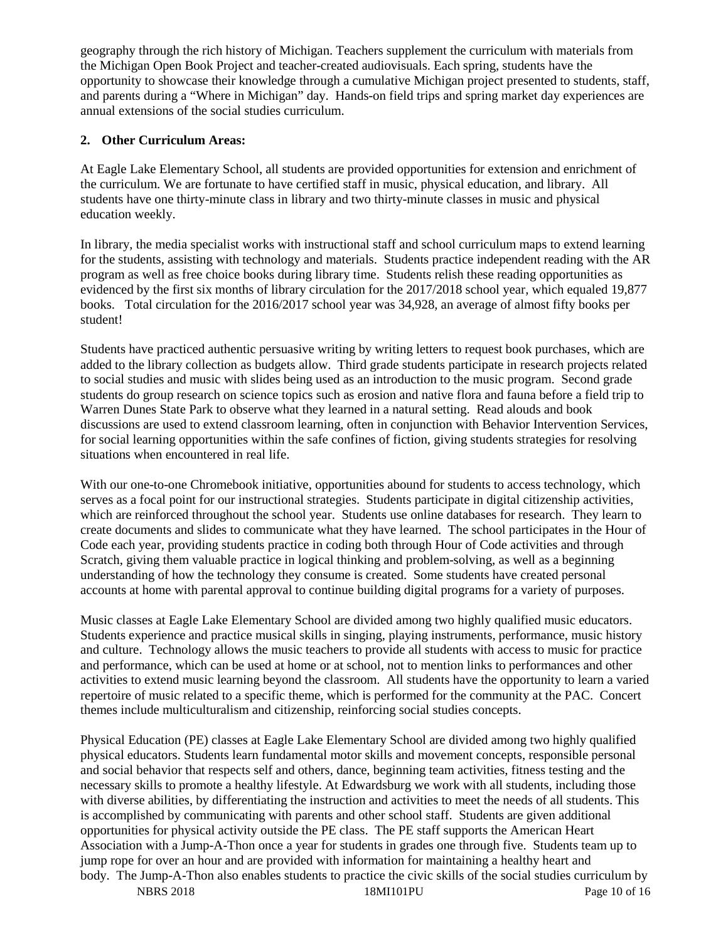geography through the rich history of Michigan. Teachers supplement the curriculum with materials from the Michigan Open Book Project and teacher-created audiovisuals. Each spring, students have the opportunity to showcase their knowledge through a cumulative Michigan project presented to students, staff, and parents during a "Where in Michigan" day. Hands-on field trips and spring market day experiences are annual extensions of the social studies curriculum.

### **2. Other Curriculum Areas:**

At Eagle Lake Elementary School, all students are provided opportunities for extension and enrichment of the curriculum. We are fortunate to have certified staff in music, physical education, and library. All students have one thirty-minute class in library and two thirty-minute classes in music and physical education weekly.

In library, the media specialist works with instructional staff and school curriculum maps to extend learning for the students, assisting with technology and materials. Students practice independent reading with the AR program as well as free choice books during library time. Students relish these reading opportunities as evidenced by the first six months of library circulation for the 2017/2018 school year, which equaled 19,877 books. Total circulation for the 2016/2017 school year was 34,928, an average of almost fifty books per student!

Students have practiced authentic persuasive writing by writing letters to request book purchases, which are added to the library collection as budgets allow. Third grade students participate in research projects related to social studies and music with slides being used as an introduction to the music program. Second grade students do group research on science topics such as erosion and native flora and fauna before a field trip to Warren Dunes State Park to observe what they learned in a natural setting. Read alouds and book discussions are used to extend classroom learning, often in conjunction with Behavior Intervention Services, for social learning opportunities within the safe confines of fiction, giving students strategies for resolving situations when encountered in real life.

With our one-to-one Chromebook initiative, opportunities abound for students to access technology, which serves as a focal point for our instructional strategies. Students participate in digital citizenship activities, which are reinforced throughout the school year. Students use online databases for research. They learn to create documents and slides to communicate what they have learned. The school participates in the Hour of Code each year, providing students practice in coding both through Hour of Code activities and through Scratch, giving them valuable practice in logical thinking and problem-solving, as well as a beginning understanding of how the technology they consume is created. Some students have created personal accounts at home with parental approval to continue building digital programs for a variety of purposes.

Music classes at Eagle Lake Elementary School are divided among two highly qualified music educators. Students experience and practice musical skills in singing, playing instruments, performance, music history and culture. Technology allows the music teachers to provide all students with access to music for practice and performance, which can be used at home or at school, not to mention links to performances and other activities to extend music learning beyond the classroom. All students have the opportunity to learn a varied repertoire of music related to a specific theme, which is performed for the community at the PAC. Concert themes include multiculturalism and citizenship, reinforcing social studies concepts.

NBRS 2018 18MI101PU Page 10 of 16 Physical Education (PE) classes at Eagle Lake Elementary School are divided among two highly qualified physical educators. Students learn fundamental motor skills and movement concepts, responsible personal and social behavior that respects self and others, dance, beginning team activities, fitness testing and the necessary skills to promote a healthy lifestyle. At Edwardsburg we work with all students, including those with diverse abilities, by differentiating the instruction and activities to meet the needs of all students. This is accomplished by communicating with parents and other school staff. Students are given additional opportunities for physical activity outside the PE class. The PE staff supports the American Heart Association with a Jump-A-Thon once a year for students in grades one through five. Students team up to jump rope for over an hour and are provided with information for maintaining a healthy heart and body. The Jump-A-Thon also enables students to practice the civic skills of the social studies curriculum by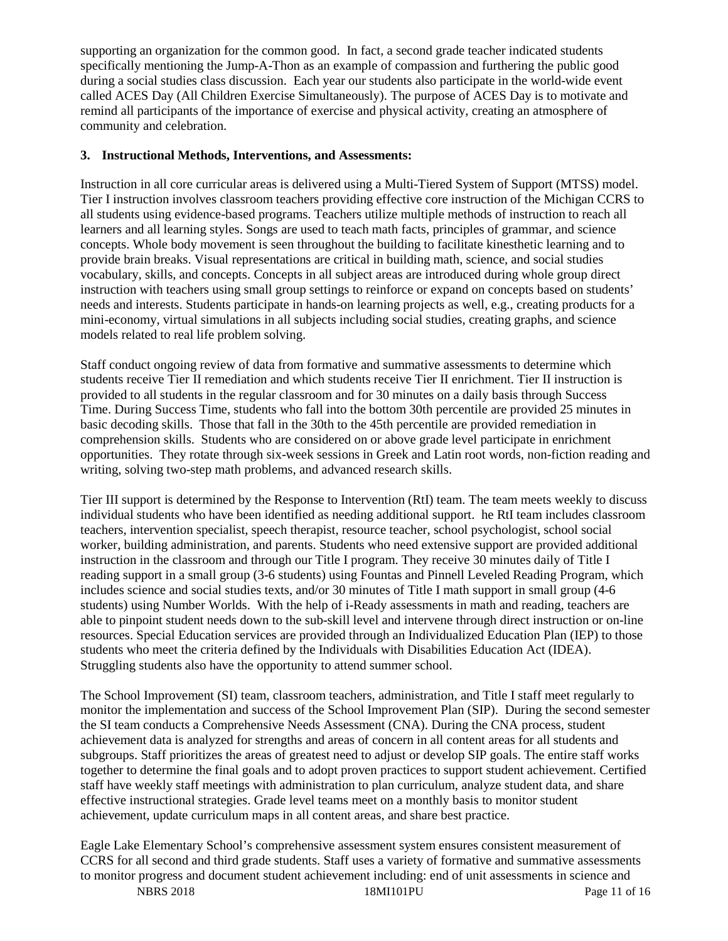supporting an organization for the common good. In fact, a second grade teacher indicated students specifically mentioning the Jump-A-Thon as an example of compassion and furthering the public good during a social studies class discussion. Each year our students also participate in the world-wide event called ACES Day (All Children Exercise Simultaneously). The purpose of ACES Day is to motivate and remind all participants of the importance of exercise and physical activity, creating an atmosphere of community and celebration.

#### **3. Instructional Methods, Interventions, and Assessments:**

Instruction in all core curricular areas is delivered using a Multi-Tiered System of Support (MTSS) model. Tier I instruction involves classroom teachers providing effective core instruction of the Michigan CCRS to all students using evidence-based programs. Teachers utilize multiple methods of instruction to reach all learners and all learning styles. Songs are used to teach math facts, principles of grammar, and science concepts. Whole body movement is seen throughout the building to facilitate kinesthetic learning and to provide brain breaks. Visual representations are critical in building math, science, and social studies vocabulary, skills, and concepts. Concepts in all subject areas are introduced during whole group direct instruction with teachers using small group settings to reinforce or expand on concepts based on students' needs and interests. Students participate in hands-on learning projects as well, e.g., creating products for a mini-economy, virtual simulations in all subjects including social studies, creating graphs, and science models related to real life problem solving.

Staff conduct ongoing review of data from formative and summative assessments to determine which students receive Tier II remediation and which students receive Tier II enrichment. Tier II instruction is provided to all students in the regular classroom and for 30 minutes on a daily basis through Success Time. During Success Time, students who fall into the bottom 30th percentile are provided 25 minutes in basic decoding skills. Those that fall in the 30th to the 45th percentile are provided remediation in comprehension skills. Students who are considered on or above grade level participate in enrichment opportunities. They rotate through six-week sessions in Greek and Latin root words, non-fiction reading and writing, solving two-step math problems, and advanced research skills.

Tier III support is determined by the Response to Intervention (RtI) team. The team meets weekly to discuss individual students who have been identified as needing additional support. he RtI team includes classroom teachers, intervention specialist, speech therapist, resource teacher, school psychologist, school social worker, building administration, and parents. Students who need extensive support are provided additional instruction in the classroom and through our Title I program. They receive 30 minutes daily of Title I reading support in a small group (3-6 students) using Fountas and Pinnell Leveled Reading Program, which includes science and social studies texts, and/or 30 minutes of Title I math support in small group (4-6 students) using Number Worlds. With the help of i-Ready assessments in math and reading, teachers are able to pinpoint student needs down to the sub-skill level and intervene through direct instruction or on-line resources. Special Education services are provided through an Individualized Education Plan (IEP) to those students who meet the criteria defined by the Individuals with Disabilities Education Act (IDEA). Struggling students also have the opportunity to attend summer school.

The School Improvement (SI) team, classroom teachers, administration, and Title I staff meet regularly to monitor the implementation and success of the School Improvement Plan (SIP). During the second semester the SI team conducts a Comprehensive Needs Assessment (CNA). During the CNA process, student achievement data is analyzed for strengths and areas of concern in all content areas for all students and subgroups. Staff prioritizes the areas of greatest need to adjust or develop SIP goals. The entire staff works together to determine the final goals and to adopt proven practices to support student achievement. Certified staff have weekly staff meetings with administration to plan curriculum, analyze student data, and share effective instructional strategies. Grade level teams meet on a monthly basis to monitor student achievement, update curriculum maps in all content areas, and share best practice.

Eagle Lake Elementary School's comprehensive assessment system ensures consistent measurement of CCRS for all second and third grade students. Staff uses a variety of formative and summative assessments to monitor progress and document student achievement including: end of unit assessments in science and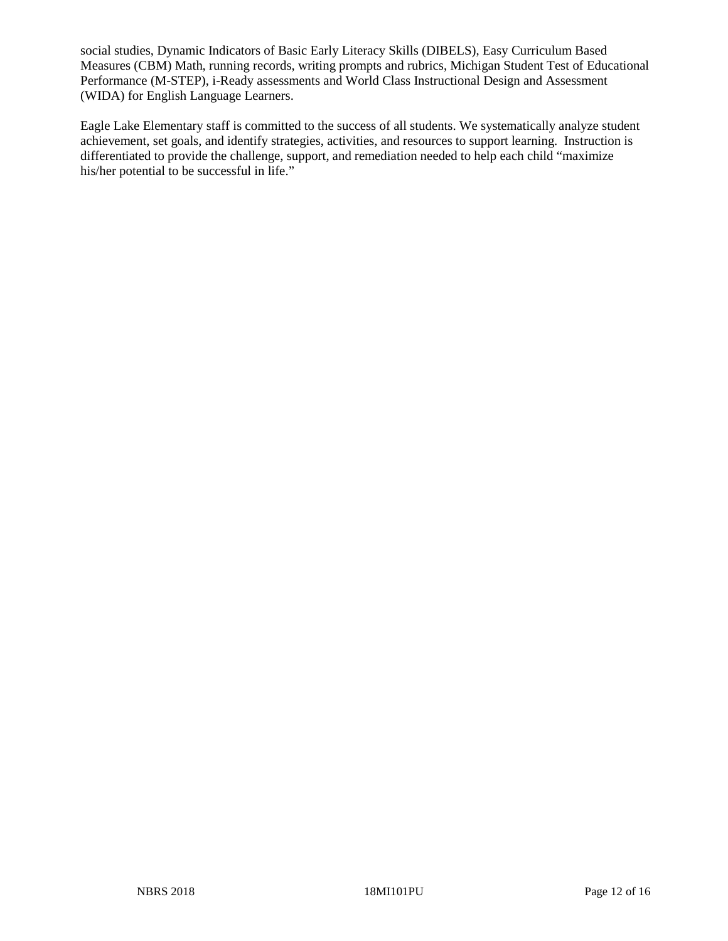social studies, Dynamic Indicators of Basic Early Literacy Skills (DIBELS), Easy Curriculum Based Measures (CBM) Math, running records, writing prompts and rubrics, Michigan Student Test of Educational Performance (M-STEP), i-Ready assessments and World Class Instructional Design and Assessment (WIDA) for English Language Learners.

Eagle Lake Elementary staff is committed to the success of all students. We systematically analyze student achievement, set goals, and identify strategies, activities, and resources to support learning. Instruction is differentiated to provide the challenge, support, and remediation needed to help each child "maximize his/her potential to be successful in life."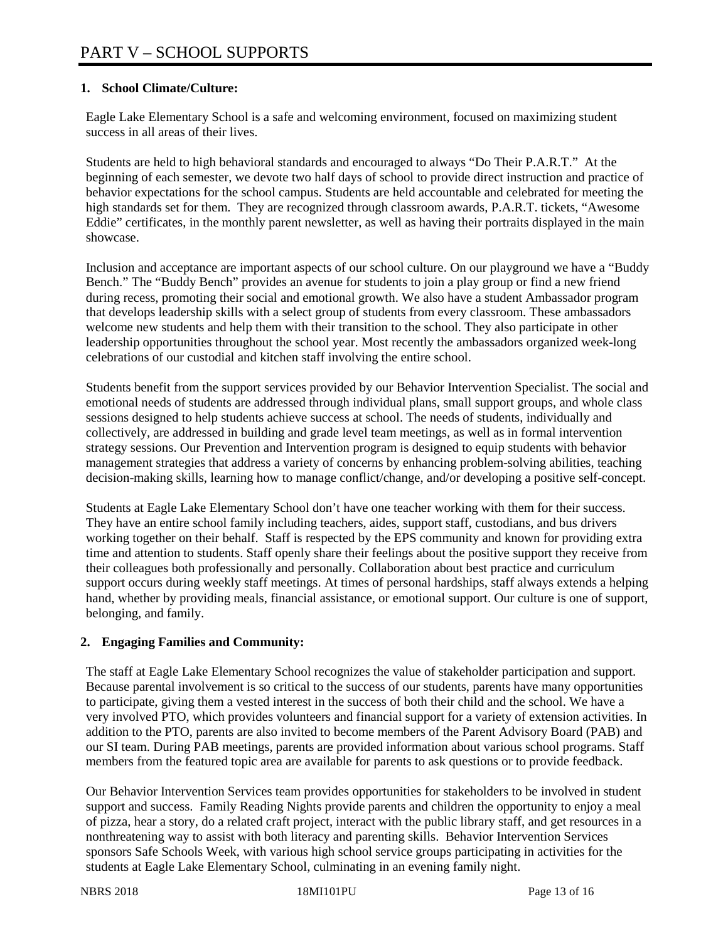## **1. School Climate/Culture:**

Eagle Lake Elementary School is a safe and welcoming environment, focused on maximizing student success in all areas of their lives.

Students are held to high behavioral standards and encouraged to always "Do Their P.A.R.T." At the beginning of each semester, we devote two half days of school to provide direct instruction and practice of behavior expectations for the school campus. Students are held accountable and celebrated for meeting the high standards set for them. They are recognized through classroom awards, P.A.R.T. tickets, "Awesome Eddie" certificates, in the monthly parent newsletter, as well as having their portraits displayed in the main showcase.

Inclusion and acceptance are important aspects of our school culture. On our playground we have a "Buddy Bench." The "Buddy Bench" provides an avenue for students to join a play group or find a new friend during recess, promoting their social and emotional growth. We also have a student Ambassador program that develops leadership skills with a select group of students from every classroom. These ambassadors welcome new students and help them with their transition to the school. They also participate in other leadership opportunities throughout the school year. Most recently the ambassadors organized week-long celebrations of our custodial and kitchen staff involving the entire school.

Students benefit from the support services provided by our Behavior Intervention Specialist. The social and emotional needs of students are addressed through individual plans, small support groups, and whole class sessions designed to help students achieve success at school. The needs of students, individually and collectively, are addressed in building and grade level team meetings, as well as in formal intervention strategy sessions. Our Prevention and Intervention program is designed to equip students with behavior management strategies that address a variety of concerns by enhancing problem-solving abilities, teaching decision-making skills, learning how to manage conflict/change, and/or developing a positive self-concept.

Students at Eagle Lake Elementary School don't have one teacher working with them for their success. They have an entire school family including teachers, aides, support staff, custodians, and bus drivers working together on their behalf. Staff is respected by the EPS community and known for providing extra time and attention to students. Staff openly share their feelings about the positive support they receive from their colleagues both professionally and personally. Collaboration about best practice and curriculum support occurs during weekly staff meetings. At times of personal hardships, staff always extends a helping hand, whether by providing meals, financial assistance, or emotional support. Our culture is one of support, belonging, and family.

## **2. Engaging Families and Community:**

The staff at Eagle Lake Elementary School recognizes the value of stakeholder participation and support. Because parental involvement is so critical to the success of our students, parents have many opportunities to participate, giving them a vested interest in the success of both their child and the school. We have a very involved PTO, which provides volunteers and financial support for a variety of extension activities. In addition to the PTO, parents are also invited to become members of the Parent Advisory Board (PAB) and our SI team. During PAB meetings, parents are provided information about various school programs. Staff members from the featured topic area are available for parents to ask questions or to provide feedback.

Our Behavior Intervention Services team provides opportunities for stakeholders to be involved in student support and success. Family Reading Nights provide parents and children the opportunity to enjoy a meal of pizza, hear a story, do a related craft project, interact with the public library staff, and get resources in a nonthreatening way to assist with both literacy and parenting skills. Behavior Intervention Services sponsors Safe Schools Week, with various high school service groups participating in activities for the students at Eagle Lake Elementary School, culminating in an evening family night.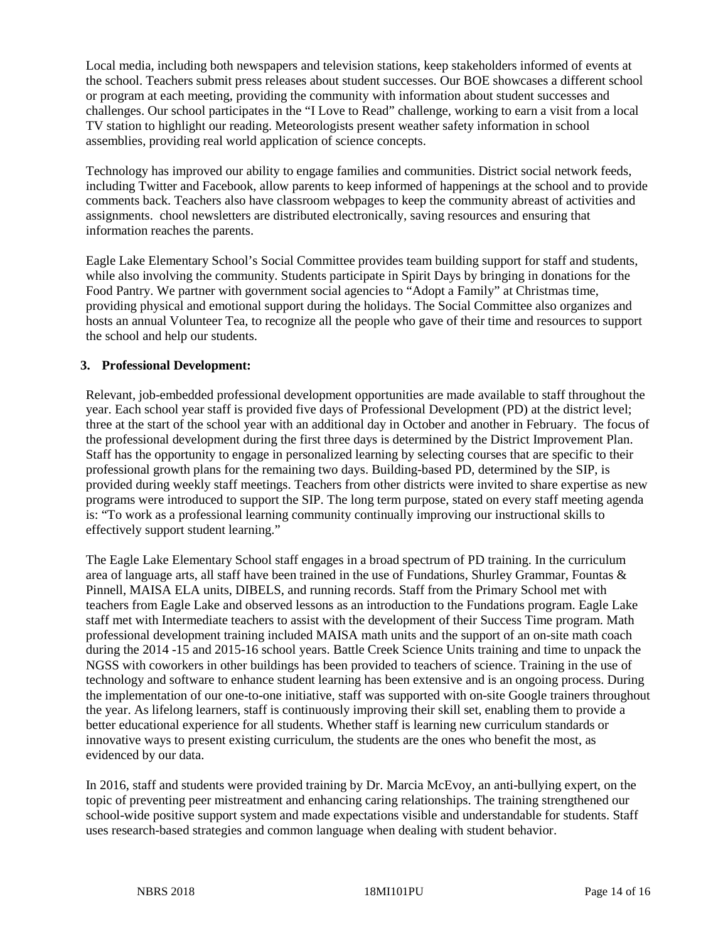Local media, including both newspapers and television stations, keep stakeholders informed of events at the school. Teachers submit press releases about student successes. Our BOE showcases a different school or program at each meeting, providing the community with information about student successes and challenges. Our school participates in the "I Love to Read" challenge, working to earn a visit from a local TV station to highlight our reading. Meteorologists present weather safety information in school assemblies, providing real world application of science concepts.

Technology has improved our ability to engage families and communities. District social network feeds, including Twitter and Facebook, allow parents to keep informed of happenings at the school and to provide comments back. Teachers also have classroom webpages to keep the community abreast of activities and assignments. chool newsletters are distributed electronically, saving resources and ensuring that information reaches the parents.

Eagle Lake Elementary School's Social Committee provides team building support for staff and students, while also involving the community. Students participate in Spirit Days by bringing in donations for the Food Pantry. We partner with government social agencies to "Adopt a Family" at Christmas time, providing physical and emotional support during the holidays. The Social Committee also organizes and hosts an annual Volunteer Tea, to recognize all the people who gave of their time and resources to support the school and help our students.

#### **3. Professional Development:**

Relevant, job-embedded professional development opportunities are made available to staff throughout the year. Each school year staff is provided five days of Professional Development (PD) at the district level; three at the start of the school year with an additional day in October and another in February. The focus of the professional development during the first three days is determined by the District Improvement Plan. Staff has the opportunity to engage in personalized learning by selecting courses that are specific to their professional growth plans for the remaining two days. Building-based PD, determined by the SIP, is provided during weekly staff meetings. Teachers from other districts were invited to share expertise as new programs were introduced to support the SIP. The long term purpose, stated on every staff meeting agenda is: "To work as a professional learning community continually improving our instructional skills to effectively support student learning."

The Eagle Lake Elementary School staff engages in a broad spectrum of PD training. In the curriculum area of language arts, all staff have been trained in the use of Fundations, Shurley Grammar, Fountas & Pinnell, MAISA ELA units, DIBELS, and running records. Staff from the Primary School met with teachers from Eagle Lake and observed lessons as an introduction to the Fundations program. Eagle Lake staff met with Intermediate teachers to assist with the development of their Success Time program. Math professional development training included MAISA math units and the support of an on-site math coach during the 2014 -15 and 2015-16 school years. Battle Creek Science Units training and time to unpack the NGSS with coworkers in other buildings has been provided to teachers of science. Training in the use of technology and software to enhance student learning has been extensive and is an ongoing process. During the implementation of our one-to-one initiative, staff was supported with on-site Google trainers throughout the year. As lifelong learners, staff is continuously improving their skill set, enabling them to provide a better educational experience for all students. Whether staff is learning new curriculum standards or innovative ways to present existing curriculum, the students are the ones who benefit the most, as evidenced by our data.

In 2016, staff and students were provided training by Dr. Marcia McEvoy, an anti-bullying expert, on the topic of preventing peer mistreatment and enhancing caring relationships. The training strengthened our school-wide positive support system and made expectations visible and understandable for students. Staff uses research-based strategies and common language when dealing with student behavior.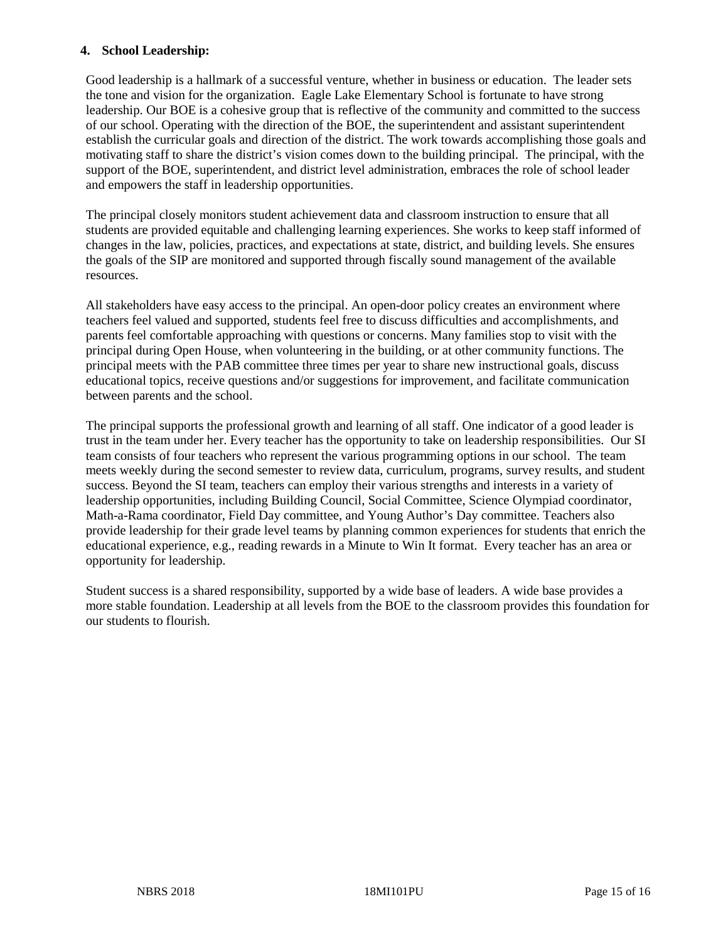#### **4. School Leadership:**

Good leadership is a hallmark of a successful venture, whether in business or education. The leader sets the tone and vision for the organization. Eagle Lake Elementary School is fortunate to have strong leadership. Our BOE is a cohesive group that is reflective of the community and committed to the success of our school. Operating with the direction of the BOE, the superintendent and assistant superintendent establish the curricular goals and direction of the district. The work towards accomplishing those goals and motivating staff to share the district's vision comes down to the building principal. The principal, with the support of the BOE, superintendent, and district level administration, embraces the role of school leader and empowers the staff in leadership opportunities.

The principal closely monitors student achievement data and classroom instruction to ensure that all students are provided equitable and challenging learning experiences. She works to keep staff informed of changes in the law, policies, practices, and expectations at state, district, and building levels. She ensures the goals of the SIP are monitored and supported through fiscally sound management of the available resources.

All stakeholders have easy access to the principal. An open-door policy creates an environment where teachers feel valued and supported, students feel free to discuss difficulties and accomplishments, and parents feel comfortable approaching with questions or concerns. Many families stop to visit with the principal during Open House, when volunteering in the building, or at other community functions. The principal meets with the PAB committee three times per year to share new instructional goals, discuss educational topics, receive questions and/or suggestions for improvement, and facilitate communication between parents and the school.

The principal supports the professional growth and learning of all staff. One indicator of a good leader is trust in the team under her. Every teacher has the opportunity to take on leadership responsibilities. Our SI team consists of four teachers who represent the various programming options in our school. The team meets weekly during the second semester to review data, curriculum, programs, survey results, and student success. Beyond the SI team, teachers can employ their various strengths and interests in a variety of leadership opportunities, including Building Council, Social Committee, Science Olympiad coordinator, Math-a-Rama coordinator, Field Day committee, and Young Author's Day committee. Teachers also provide leadership for their grade level teams by planning common experiences for students that enrich the educational experience, e.g., reading rewards in a Minute to Win It format. Every teacher has an area or opportunity for leadership.

Student success is a shared responsibility, supported by a wide base of leaders. A wide base provides a more stable foundation. Leadership at all levels from the BOE to the classroom provides this foundation for our students to flourish.